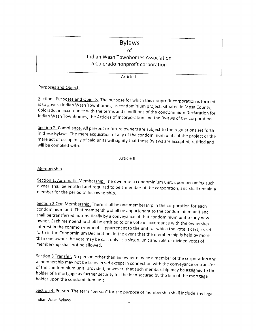# Bylaws

of

lndian Wash Townhomes Association a Colorado nonprofit corporation

Article l.

# Purposes and Obiects

Section I Purposes and Objects. The purpose for which this nonprofit corporation is formed<br>is to govern Indian Wash Townhomes, as condominium project, situated in Mesa County,<br>Colorado, in accordance with the terms and con

Section 2. Compliance. All present or future owners are subject to the regulations set forth in these Bylaws. The mere acquisition of any of the condominium units of the project or the mere act of occupancy of said units will signify that these Bylaws are accepted, ratified and will be complied with.

Article ll.

#### Membership

Section 1. Automatic Membership. The owner of a condominium unit, upon becoming such owner, shall be entitled and required to be a member of the corporation, and shall remain <sup>a</sup> member for the period of his ownership.

Section 2 One Membership. There shall be one membership in the corporation for each<br>condominium unit. That membership shall be appurtenant to the condominium unit and<br>shall be transferred automatically by a conveyance of t

Section 3 Transfer. No person other than an owner may be a member of the corporation and<br>a membership may not be transferred except in connection with the conveyance or transfer of the condominium unit; provided, however, that such membership may be assigned to the holder of a mortgage as further security for the loan secured by the lien of the mortgage holder upon the condominium unit.

Section 4. Person. The term "person" for the purpose of membership shall include any legal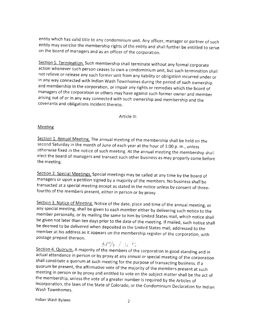entity which has valid title to any condominium unit. Any officer, manager or partner of such entity may exercise the membership rights of the entity and shall further be entitled to serve on the board of managers and as an officer of the corporation.

Section 5. Termination. Such membership shall terminate without any formal corporate<br>action whenever such person ceases to own a condominium unit, but such termination shall not relieve or release any such former unit from any liability or obligation incurred under or<br>in any way connected with Indian Wash Townhomes during the period of such ownership and membership in the corporation, or impair any rights or remedies which the board of managers of the corporation or others may have against such former owner and member arising out of or in any way connected with such ownership and membership and the covenants and obligations incident thereto.

Article lll.

#### Meeting

Section 1. Annual Meeting. The annual meeting of the membership shall be held on the second Saturday in the month of June of each year at the hour of 1:00 p. m., unless otherwise fixed in the notice of such meeting. At the elect the board of managers and transact such other business as may properly come before the meeting.

Section 2. Special Meetings. Special meetings may be called at any time by the board of managers or upon a petition signed by a majority of the members. No business shall be transacted at a special meeting except as stated in the notice unless by consent of three-<br>fourths of the members present, either in person or by proxy.

Section 3. Notice of Meeting. Notice of the date, place and time of the annual meeting, or any special meeting, shall be given to each member either by delivering such notice to the member personally, or by mailing the same to him by United States mail, which notice shall<br>be given not later than ten days prior to the date of the meeting. If mailed, such notice shall be deemed to be delivered when deposited in the United States mail, addressed to the member at his address as it appears on the membership register of the corporation, with postage prepaid thereon.

 $\frac{6}{9}$  /9/3 /  $\frac{1}{1}$  if  $\frac{1}{2}$ . Section 4. Quorum. A majority of the members of the corporation in good standing and in actual attendance in person or by proxy at any annual or special meeting of the corporation<br>shall constitute a quorum at such meeting for the purpose of transacting business. If a<br>quorum be present, the affirmative vote of meeting in person or by proxy and entitled to vote on the subject matter shall be the act of<br>the membership, unless the vote of a greater number is required by the Articles of<br>Incorporation, the laws of the State of Colora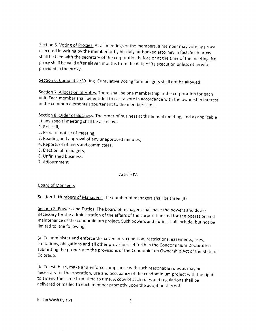Section 5. Voting of Proxies. At all meetings of the members, a member may vote by proxy executed in writing by the member or by his duly authorized attorney in fact. Such proxy shall be filed with the secretary of the corporation before or at the time of the meeting. No proxy shall be valid after eleven months from the date of its execution unless otherwise provided in the proxy.

Section 6. Cumulative Voting. Cumulative Voting for managers shall not be allowed

Section 7. Allocation of Votes. There shall be one membership in the corporation for each unit. Each member shall be entitled to cast a vote in accordance with the ownership interest in the common elements appurtenant to the member's unit.

Section 8. Order of Business. The order of business at the annual meeting, and as applicable at any special meeting shall be as follows

- L. Roll call,
- 2. Proof of notice of meeting,
- 3. Reading and approval of any unapproved minutes,
- 4. Reports of officers and committees,
- 5. Election of managers,
- 6. Unfinished business,
- 7. Adjournment

#### Article lV.

# Board of Managers

Section 1. Numbers of Managers. The number of managers shall be three (3)

Section 2. Powers and Duties. The board of managers shall have the powers and duties necessary for the administration of the affairs of the corporation and for the operation and maintenance of the condominium project. Such powers and duties shall include, but not be limited to, the following;

(a) To administer and enforce the covenants, condition, restrictions, easements, uses, limitations, obligations and all other provisions set forth in the Condominium Declaration submitting the property to the provisions of the Condominium Ownership Act of the State of Colorado.

(b)To establish, make and enforce compliance with such reasonable rules as may be necessary for the operation, use and occupancy of the condominium project with the right to amend the same from time to time. A copy of such rules and regulations shall be delivered or mailed to each member promptly upon the adoption thereof.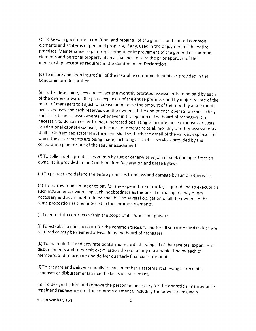(c)To keep in good order, condition, and repair allof the general and limited common elements and all items of personal property, if any, used in the enjoyment of the entire premises. Maintenance, repair, replacement, or improvement of the general or common elements and personal property, if any, shall not require the prior approval of the membership, except as required in the condominium Declaration.

(d)To insure and keep insured all of the insurable common elements as provided in the Condominium Declaration.

(e)To fix, determine, levy and collect the monthly prorated assessments to be paid by each of the owners towards the gross expenses of the entire premises and by majority vote of the board of managers to adjust, decrease or increase the amount of the monthly assessments over expenses and cash reserves due the owners at the end of each operating year. To levy and collect special assessments whenever in the opinion of the board of managers it is necessary to do so in order to meet increased operating or maintenance expenses or costs, or additional capital expenses, or because of emergencies all monthly or other assessments shall be in itemized statement form and shall set forth the detail of the various expenses for which the assessments are being made, including a list of all services provided bythe corporation paid for out of the regular assessment.

(f)To collect delinquent assessments by suit or otherwise enjoin or seek damages from an owner as is provided in the condominium Declaration and these Bylaws.

(g)To protect and defend the entire premises from loss and damage by suit or otherwise.

(h)To borrow funds in order to pay for any expenditure or outlay required and to execute all such instruments evidencing such indebtedness as the board of managers may deem necessary and such indebtedness shall be the several obligation of allthe owners in the same proportion as their interest in the common elements.

(i)To enter into contracts within the scope of its duties and powers.

(j)To establish a bank account for the common treasury and for all separate funds which are required or may be deemed advisable by the board of managers.

(k)To maintain fulland accurate books and records showing all of the receipts, expenses or disbursements and to permit examination thereof at any reasonable time by each of members, and to prepare and deliver quarterly financial statements.

(l)To prepare and deliver annually to each member a statement showing all receipts, expenses or disbursements since the last such statement.

(m)To designate, hire and remove the personnel necessary for the operation, maintenance, repair and replacement of the common elements, including the power to engage <sup>a</sup>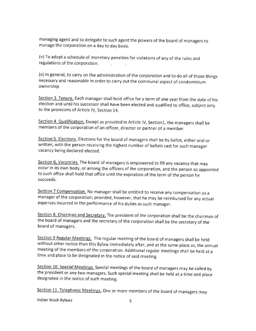managing agent and to delegate to such agent the powers of the board of managers to manage the corporation on a day to day basis.

(n)To adopt a schedule of monetary penalties for violations of any of the rules and regulations of the corporation  $\sim 10^7$ 

(o) ln general, to carry on the administration of the corporation and to do allof those things necessary and reasonable in order to carry out the communal aspect of condominium ownership

Section 3. Tenure. Each manager shall hold office for a term of one year from the date of his election and until his successor shall have been elected and qualified to office, subject only to the provisions of Article lV, Section 14.

Section 4. Qualification. Except as provided in Article IV, Section1, the managers shall be members of the corporation of an officer, director or partner of a member.

Section 5. Elections. Elections for the board of managers shall be by ballot, either oral or written, with the person receiving the highest number of ballots cast for such manager vacancy being declared elected.

Section 6, Vacancies. The board of managers is empowered to fill any vacancy that may occur in its own body, or among the officers of the corporation, and the person so appointed to such office shall hold that office until the expiration of the term of the person he succeeds,

Section 7 Compensation. No manager shall be entitled to receive any compensation as a manager of the corporation; provided, however, that he may be reimbursed for any actual expenses incurred in the performance of his duties as such manager.

Section 8. Chairman and Secretary. The president of the corporation shall be the chairman of the board of managers and the secretary of the corporation shall be the secretary of the board of managers.

Section 9 Regular Meetings. The regular meeting of the board of managers shall be held without other notice than this Bylaw immediately after, and at the same place as, the annual meeting of the members of the corporation. Additional regular meetings shall be held at <sup>a</sup> time and place to be designated in the notice of said meeting.

Section 10. Special Meetings. Special meetings of the board of managers may be called by the president or any two managers. Such special meeting shall be held at a time and place designated in the notice of such meeting.

Section 11. Telephonic Meetings. One or more members of the board of managers may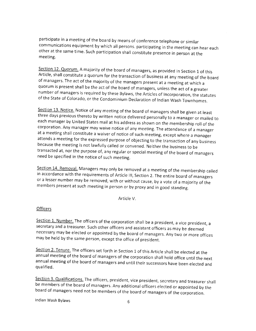participate in a meeting of the board by means of conference telephone or similar<br>communications equipment by which all persons. participating in the meeting can hear each<br>other at the same time. Such participation shall c

Section 12. Quorum. A majority of the board of managers, as provided in Section 1 of this<br>Article, shall constitute a quorum for the transaction of business at any meeting of the board<br>of managers. The act of the majority quorum is present shall be the act of the board of managers, unless the act of a greater of the State of Colorado, or the Condominium Declaration of Indian Wash Townhomes.

Section 13. Notice. Notice of any meeting of the board of managers shall be given at least<br>three days previous thereto by written notice delivered personally to a manager or mailed to<br>each manager by United States mail at attends a meeting for the expressed purpose of objecting to the transaction of any business<br>because the meeting is not lawfully called or convened. Neither the business to be transacted at, nor the purpose of, any regular or special meeting of the board of managers need be specified in the notice of such meeting,

Section 14. Removal. Managers may only be removed at a meeting of the membership called in accordance with the requirements of Article III, Section 2. The entire board of managers or a lesser number may be removed, with or without cause, by a vote of a majority of the members present at such meeting in person or by proxy and in good standing.

Article V.

#### **Officers**

Section 1. Number. The officers of the corporation shall be a president, a vice president, a secretary and a treasurer. Such other officers and assistant officers as may be deemed necessary may be elected or appointed by the board of managers. Any two or more offices may be held by the same person, except the office of president.

Section 2. Tenure. The officers set forth in Section 1 of this Article shall be elected at the<br>annual meeting of the board of managers of the corporation shall hold office until the next<br>annual meeting of the board of mana qualified.

Section 3. Qualifications. The officers, president, vice president, secretary and treasurer shall<br>be members of the board of managers. Any additional officers elected or appointed by the<br>board of managers need not be membe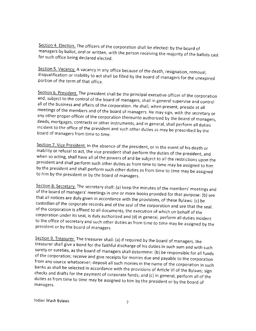Section 4. Election. The officers of the corporation shall be elected: by the board of managers by ballot, oral or written, with the person receiving the majority of the ballots cast for such office being declared elected.

Section 5. Vacancy. A vacancy in any office because of the death, resignation, removal, disqualification or inability to act shall be filled by the board of managers for the unexpired portion of the term of that office.

Section 6. President. The president shall be the principal executive officer of the corporation<br>and, subject to the control of the board of managers, shall in general supervise and control<br>all of the business and affairs o deeds, mortgages, contracts or other instruments, and in general, shall perform all duties incident to the office of the president and such other duties as may be prescribed by the board of managers from time to time.

Section 7. Vice President. In the absence of the president, or in the event of his death or inability or refusal to act, the vice president shall perform the duties of the president, and when so acting, shall have all of t

Section 8. Secretary. The secretary shall: (a) keep the minutes of the members' meetings and<br>of the board of managers' meetings in one or more books provided for that purpose: (b) see<br>that all notices are duly given in acc

Section 9. Treasurer. The treasurer shall: (a) if required by the board of managers, the<br>treasurer shall give a bond for the faithful discharge of his duties in such sum and with such<br>surety or sureties, as the board of ma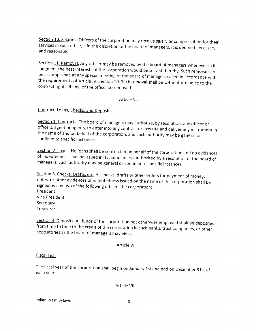Section 10. Salaries. Officers of the corporation may receive salary or compensation for their services in such office, if in the discretion of the board of managers, it is deemed necessary and reasonable.

Section 11. Removal. Any officer may be removed by the board of managers whenever in its judgment the best interests of the corporation would be served thereby. Such removal can be accomplished at any special meeting of th the requirements of Article IV, Section 10. Such removal shall be without prejudice to the contract rights, if any, of the officer so removed,

Article vl.

Contract, Loans, Checks, and Deposits

Section 1. Contracts. The board of managers may authorize, by resolution, any officer or officers, agent or agents, to enter into any contract or execute and deliver any instrument in the name of and on behalf of the corpo confined to specific instances.

Section 2. Loans. No loans shall be contracted on behalf of the corporation and no evidences of indebtedness shall be issued in its name unless authorized by a resolution of the board of managers. such authority may be general or confined to specific instances.

Section 3. Checks, Drafts, etc. All checks, drafts or other orders for payment of money, notes, or other evidences of indebtedness issued on the name of the corporation shall be signed by any two of the following officers the corporation: President Vice President **Secretary** Treasurer

Section 4. Deposits. All funds of the corporation not otherwise employed shall be deposited<br>from time to time to the credit of the corporation in such banks, trust companies, or other<br>depositories as the board of managers

Article Vll.

#### **Fiscal Year**

The fiscal year of the corporation shall begin on January 1st and end on December 31st of each year.

Article Vlll.

 $\alpha$  ,  $\beta$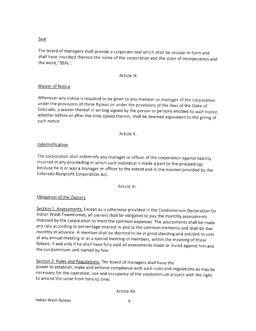# **Seal**

The board of managers shall provide <sup>a</sup> corporate seal which shall be circular in form and shall have inscribed thereon the name of the corporation and the state of incorporation and the word, "SEAL'.

# Article lX.

# Waiver of Notice

Whenever any notice is required to be given to any member or manager of the corporation under the provisions of these Bylaws or under the provisions of the laws of the State of colorado, a waiver thereof in writing signed by the person or persons entitled to such notice, whether before or after the time stated therein, shall be deemed equivalent to the giving of such notice.

## Article X.

# **Indemnification**

The corporation shall indemnify any manager or officer of the corporation against liability incurred in any proceeding in which such individual is made a part to the proceedings because he is or was a manager or officer to the extent and in the manner provided by the Colorado Nonprofit Corporation Act.

Article Xl.

# Obligation of the Owners

Section 1. Assessments. Except as is otherwise provided in the Condominium Declaration for lndian Wash Townhomes, all owners shall be obligated to paythe monthly assessments imposed by the corporation to meet the common expenses. The assessments shall be made pro rata according to percentage interest in and to the common elements and shall be due monthly in advance. A member shall be deemed to be in good standing and entitled to vote at any annual meeting or at a special meeting of members, within the meaning of these Bylaws, if and only if he shall have fully paid all assessments made or levied against him and the condominium unit owned by him.

Section 2. Rules and Regulations. The board of managers shall have the power to establish, make and enforce compliance with such rules and regulations as may be necessary for the operation, use and occupancy of the condominium project with the right to amend the same from time to time.

Article Xll.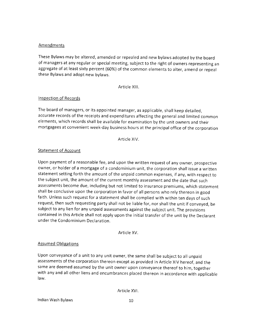#### Amendments

These Bylaws may be altered, amended or repealed and new bylaws adopted by the board of managers at any regular or special meeting, subject to the right of owners representing an aggregate of at least sixty percent (60%) of the common elements to alter, amend or repeal these Bylaws and adopt new bylaws.

Article Xlll.

## lnspection of Records

The board of managers, or its appointed manager, as applicable, shall keep detailed, accurate records of the receipts and expenditures affecting the general and limited common elements, which records shall be available for examination by the unit owners and their mortgagees at convenient week-day business hours at the principal office of the corporation

Article XlV.

## Statement of Account

Upon payment of a reasonable fee, and upon the written request of any owner, prospective owner, or holder of a mortgage of a condominium unit, the corporation shall issue a written statement setting forth the amount of the unpaid common expenses, if any, with respect to the subject unit, the amount of the current monthly assessment and the date that such assessments become due, including but not limited to insurance premiums, which statement shall be conclusive upon the corporation in favor of all persons who rely thereon in good faith. Unless such request for a statement shall be complied with within ten days of such request, then such requesting party shall not be liable for, nor shall the unit if conveyed, be subject to any lien for any unpaid assessments against the subject unit. The provisions contained in this Article shall not apply upon the initial transfer of the unit by the Declarant under the Condominium Declaration.

Article XV.

#### Assumed Obligations

Upon conveyance of a unit to any unit owner, the same shall be subject to all unpaid assessments of the corporation thereon except as provided in Article XIV hereof, and the same are deemed assumed by the unit owner upon conveyance thereof to him, together with any and all other liens and encumbrances placed thereon in accordance with applicable law.

Article XVl.